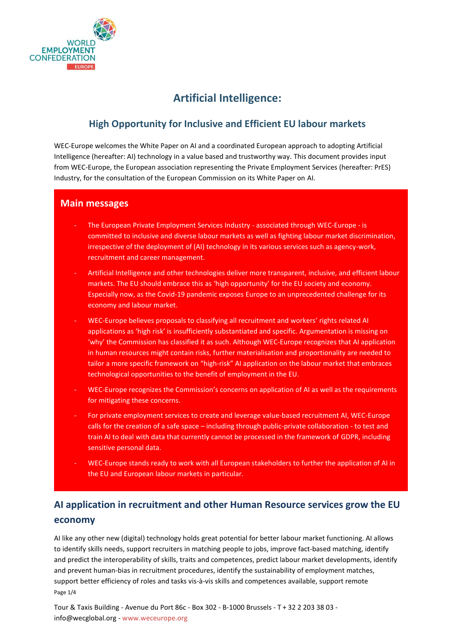

## **Artificial Intelligence:**

## **High Opportunity for Inclusive and Efficient EU labour markets**

WEC-Europe welcomes the White Paper on AI and a coordinated European approach to adopting Artificial Intelligence (hereafter: AI) technology in a value based and trustworthy way. This document provides input from WEC-Europe, the European association representing the Private Employment Services (hereafter: PrES) Industry, for the consultation of the European Commission on its White Paper on AI.

#### **Main messages**

- The European Private Employment Services Industry associated through WEC-Europe is committed to inclusive and diverse labour markets as well as fighting labour market discrimination, irrespective of the deployment of (AI) technology in its various services such as agency-work, recruitment and career management.
- Artificial Intelligence and other technologies deliver more transparent, inclusive, and efficient labour markets. The EU should embrace this as 'high opportunity' for the EU society and economy. Especially now, as the Covid-19 pandemic exposes Europe to an unprecedented challenge for its economy and labour market.
- WEC-Europe believes proposals to classifying all recruitment and workers' rights related AI applications as 'high risk' is insufficiently substantiated and specific. Argumentation is missing on 'why' the Commission has classified it as such. Although WEC-Europe recognizes that AI application in human resources might contain risks, further materialisation and proportionality are needed to tailor a more specific framework on "high-risk" AI application on the labour market that embraces technological opportunities to the benefit of employment in the EU.
- WEC-Europe recognizes the Commission's concerns on application of AI as well as the requirements for mitigating these concerns.
- For private employment services to create and leverage value-based recruitment AI, WEC-Europe calls for the creation of a safe space – including through public-private collaboration - to test and train AI to deal with data that currently cannot be processed in the framework of GDPR, including sensitive personal data.
- WEC-Europe stands ready to work with all European stakeholders to further the application of AI in the EU and European labour markets in particular.

## **AI application in recruitment and other Human Resource services grow the EU economy**

Page 1/4 AI like any other new (digital) technology holds great potential for better labour market functioning. AI allows to identify skills needs, support recruiters in matching people to jobs, improve fact-based matching, identify and predict the interoperability of skills, traits and competences, predict labour market developments, identify and prevent human-bias in recruitment procedures, identify the sustainability of employment matches, support better efficiency of roles and tasks vis-à-vis skills and competences available, support remote

Tour & Taxis Building - Avenue du Port 86c - Box 302 - B-1000 Brussels - T + 32 2 203 38 03 info@wecglobal.org - www.weceurope.org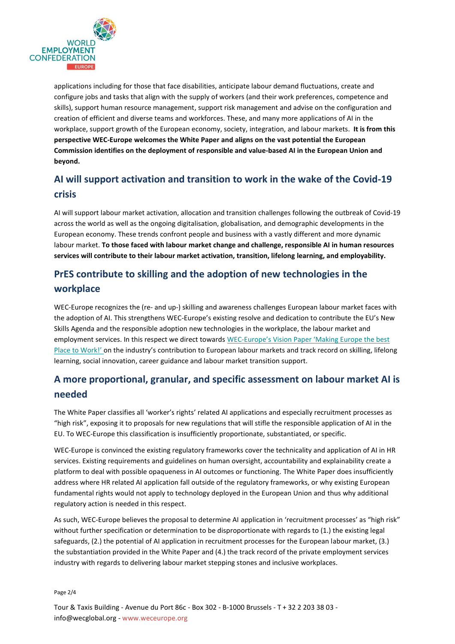

applications including for those that face disabilities, anticipate labour demand fluctuations, create and configure jobs and tasks that align with the supply of workers (and their work preferences, competence and skills), support human resource management, support risk management and advise on the configuration and creation of efficient and diverse teams and workforces. These, and many more applications of AI in the workplace, support growth of the European economy, society, integration, and labour markets. **It is from this perspective WEC-Europe welcomes the White Paper and aligns on the vast potential the European Commission identifies on the deployment of responsible and value-based AI in the European Union and beyond.**

## **AI will support activation and transition to work in the wake of the Covid-19 crisis**

AI will support labour market activation, allocation and transition challenges following the outbreak of Covid-19 across the world as well as the ongoing digitalisation, globalisation, and demographic developments in the European economy. These trends confront people and business with a vastly different and more dynamic labour market. **To those faced with labour market change and challenge, responsible AI in human resources services will contribute to their labour market activation, transition, lifelong learning, and employability.** 

# **PrES contribute to skilling and the adoption of new technologies in the workplace**

WEC-Europe recognizes the (re- and up-) skilling and awareness challenges European labour market faces with the adoption of AI. This strengthens WEC-Europe's existing resolve and dedication to contribute the EU's New Skills Agenda and the responsible adoption new technologies in the workplace, the labour market and employment services. In this respect we direct towards WEC-Europe's Vision Paper ['Making Europe the bes](https://weceurope.org/uploads/2019/07/2018_WECEU_Vision-Paper.pdf)t [Place to Work!'](https://weceurope.org/uploads/2019/07/2018_WECEU_Vision-Paper.pdf) on the industry's contribution to European labour markets and track record on skilling, lifelong learning, social innovation, career guidance and labour market transition support.

## **A more proportional, granular, and specific assessment on labour market AI is needed**

The White Paper classifies all 'worker's rights' related AI applications and especially recruitment processes as "high risk", exposing it to proposals for new regulations that will stifle the responsible application of AI in the EU. To WEC-Europe this classification is insufficiently proportionate, substantiated, or specific.

WEC-Europe is convinced the existing regulatory frameworks cover the technicality and application of AI in HR services. Existing requirements and guidelines on human oversight, accountability and explainability create a platform to deal with possible opaqueness in AI outcomes or functioning. The White Paper does insufficiently address where HR related AI application fall outside of the regulatory frameworks, or why existing European fundamental rights would not apply to technology deployed in the European Union and thus why additional regulatory action is needed in this respect.

As such, WEC-Europe believes the proposal to determine AI application in 'recruitment processes' as "high risk" without further specification or determination to be disproportionate with regards to (1.) the existing legal safeguards, (2.) the potential of AI application in recruitment processes for the European labour market, (3.) the substantiation provided in the White Paper and (4.) the track record of the private employment services industry with regards to delivering labour market stepping stones and inclusive workplaces.

Page 2/4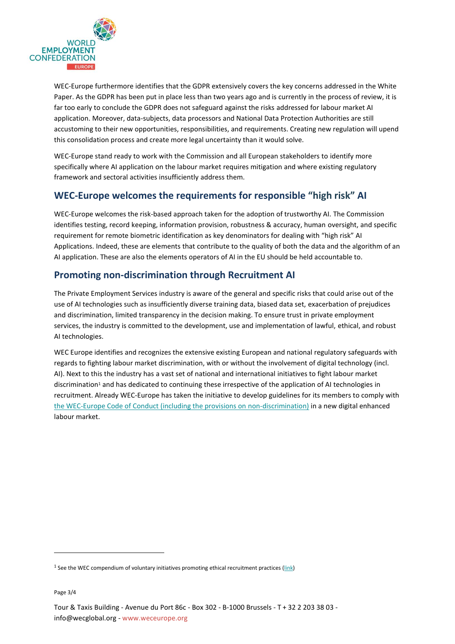

WEC-Europe furthermore identifies that the GDPR extensively covers the key concerns addressed in the White Paper. As the GDPR has been put in place less than two years ago and is currently in the process of review, it is far too early to conclude the GDPR does not safeguard against the risks addressed for labour market AI application. Moreover, data-subjects, data processors and National Data Protection Authorities are still accustoming to their new opportunities, responsibilities, and requirements. Creating new regulation will upend this consolidation process and create more legal uncertainty than it would solve.

WEC-Europe stand ready to work with the Commission and all European stakeholders to identify more specifically where AI application on the labour market requires mitigation and where existing regulatory framework and sectoral activities insufficiently address them.

#### **WEC-Europe welcomes the requirements for responsible "high risk" AI**

WEC-Europe welcomes the risk-based approach taken for the adoption of trustworthy AI. The Commission identifies testing, record keeping, information provision, robustness & accuracy, human oversight, and specific requirement for remote biometric identification as key denominators for dealing with "high risk" AI Applications. Indeed, these are elements that contribute to the quality of both the data and the algorithm of an AI application. These are also the elements operators of AI in the EU should be held accountable to.

## **Promoting non-discrimination through Recruitment AI**

The Private Employment Services industry is aware of the general and specific risks that could arise out of the use of AI technologies such as insufficiently diverse training data, biased data set, exacerbation of prejudices and discrimination, limited transparency in the decision making. To ensure trust in private employment services, the industry is committed to the development, use and implementation of lawful, ethical, and robust AI technologies.

WEC Europe identifies and recognizes the extensive existing European and national regulatory safeguards with regards to fighting labour market discrimination, with or without the involvement of digital technology (incl. AI). Next to this the industry has a vast set of national and international initiatives to fight labour market discrimination<sup>1</sup> and has dedicated to continuing these irrespective of the application of AI technologies in recruitment. Already WEC-Europe has taken the initiative to develop guidelines for its members to comply with [the WEC-Europe Code of Conduct \(including the provisions on non-discrimination\)](https://weceurope.org/world-employment-confederation-global/code-of-conduct-2/) in a new digital enhanced labour market.

<sup>&</sup>lt;sup>1</sup> See the WEC compendium of voluntary initiatives promoting ethical recruitment practices [\(link\)](https://wecglobal.org/publication-post/compendium-of-voluntary-initiatives-to-promote-fair-recruitment/)

Page 3/4